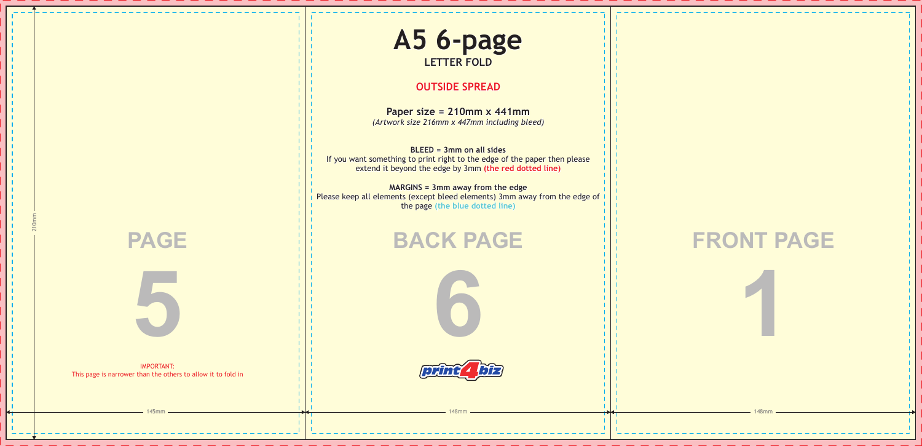

## **FRONT PAGE 1**